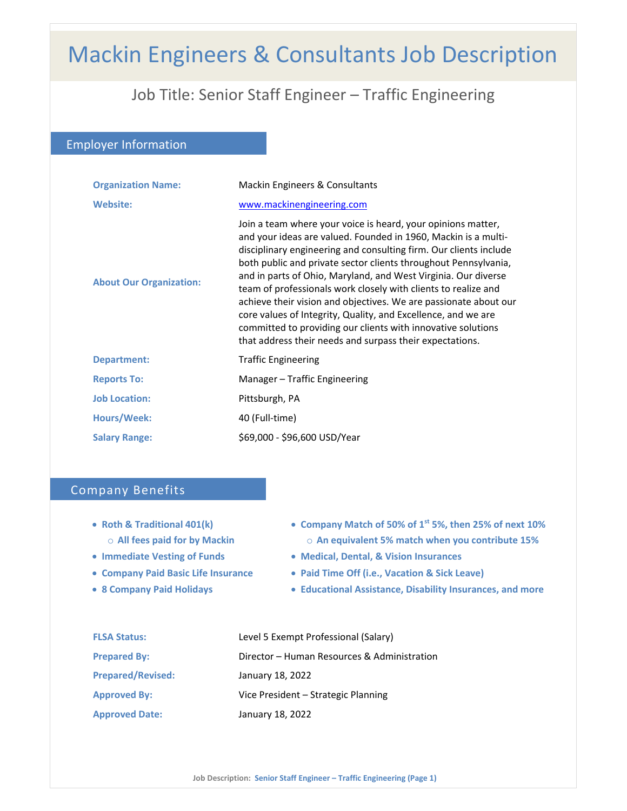# Mackin Engineers & Consultants Job Description

## Job Title: Senior Staff Engineer – Traffic Engineering

Employer Information

| <b>Organization Name:</b>      | Mackin Engineers & Consultants                                                                                                                                                                                                                                                                                                                                                                                                                                                                                                                                                                                                                                              |
|--------------------------------|-----------------------------------------------------------------------------------------------------------------------------------------------------------------------------------------------------------------------------------------------------------------------------------------------------------------------------------------------------------------------------------------------------------------------------------------------------------------------------------------------------------------------------------------------------------------------------------------------------------------------------------------------------------------------------|
| <b>Website:</b>                | www.mackinengineering.com                                                                                                                                                                                                                                                                                                                                                                                                                                                                                                                                                                                                                                                   |
| <b>About Our Organization:</b> | Join a team where your voice is heard, your opinions matter,<br>and your ideas are valued. Founded in 1960, Mackin is a multi-<br>disciplinary engineering and consulting firm. Our clients include<br>both public and private sector clients throughout Pennsylvania,<br>and in parts of Ohio, Maryland, and West Virginia. Our diverse<br>team of professionals work closely with clients to realize and<br>achieve their vision and objectives. We are passionate about our<br>core values of Integrity, Quality, and Excellence, and we are<br>committed to providing our clients with innovative solutions<br>that address their needs and surpass their expectations. |
| <b>Department:</b>             | <b>Traffic Engineering</b>                                                                                                                                                                                                                                                                                                                                                                                                                                                                                                                                                                                                                                                  |
| <b>Reports To:</b>             | Manager – Traffic Engineering                                                                                                                                                                                                                                                                                                                                                                                                                                                                                                                                                                                                                                               |
| <b>Job Location:</b>           | Pittsburgh, PA                                                                                                                                                                                                                                                                                                                                                                                                                                                                                                                                                                                                                                                              |
| Hours/Week:                    | 40 (Full-time)                                                                                                                                                                                                                                                                                                                                                                                                                                                                                                                                                                                                                                                              |
| <b>Salary Range:</b>           | \$69,000 - \$96,600 USD/Year                                                                                                                                                                                                                                                                                                                                                                                                                                                                                                                                                                                                                                                |

## Company Benefits

- **Roth & Traditional 401(k)** o **All fees paid for by Mackin**
- **Immediate Vesting of Funds**
- **Company Paid Basic Life Insurance**
- **8 Company Paid Holidays**
- **Company Match of 50% of 1st 5%, then 25% of next 10%** o **An equivalent 5% match when you contribute 15%**
- **Medical, Dental, & Vision Insurances**
- **Paid Time Off (i.e., Vacation & Sick Leave)**
- **Educational Assistance, Disability Insurances, and more**

| <b>FLSA Status:</b>      | Level 5 Exempt Professional (Salary)        |
|--------------------------|---------------------------------------------|
| <b>Prepared By:</b>      | Director - Human Resources & Administration |
| <b>Prepared/Revised:</b> | January 18, 2022                            |
| <b>Approved By:</b>      | Vice President – Strategic Planning         |
| <b>Approved Date:</b>    | January 18, 2022                            |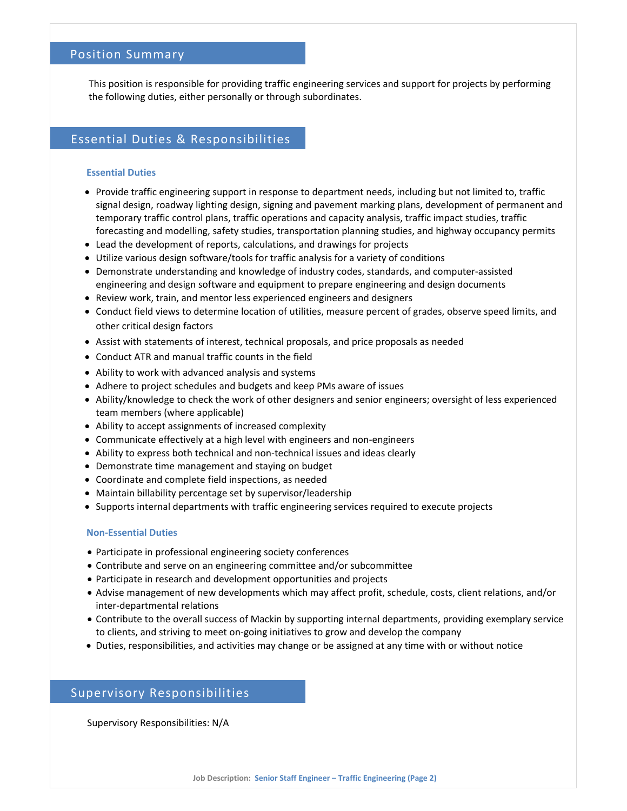### Position Summary

This position is responsible for providing traffic engineering services and support for projects by performing the following duties, either personally or through subordinates.

## Essential Duties & Responsibilities

#### **Essential Duties**

- Provide traffic engineering support in response to department needs, including but not limited to, traffic signal design, roadway lighting design, signing and pavement marking plans, development of permanent and temporary traffic control plans, traffic operations and capacity analysis, traffic impact studies, traffic forecasting and modelling, safety studies, transportation planning studies, and highway occupancy permits
- Lead the development of reports, calculations, and drawings for projects
- Utilize various design software/tools for traffic analysis for a variety of conditions
- Demonstrate understanding and knowledge of industry codes, standards, and computer-assisted engineering and design software and equipment to prepare engineering and design documents
- Review work, train, and mentor less experienced engineers and designers
- Conduct field views to determine location of utilities, measure percent of grades, observe speed limits, and other critical design factors
- Assist with statements of interest, technical proposals, and price proposals as needed
- Conduct ATR and manual traffic counts in the field
- Ability to work with advanced analysis and systems
- Adhere to project schedules and budgets and keep PMs aware of issues
- Ability/knowledge to check the work of other designers and senior engineers; oversight of less experienced team members (where applicable)
- Ability to accept assignments of increased complexity
- Communicate effectively at a high level with engineers and non-engineers
- Ability to express both technical and non-technical issues and ideas clearly
- Demonstrate time management and staying on budget
- Coordinate and complete field inspections, as needed
- Maintain billability percentage set by supervisor/leadership
- Supports internal departments with traffic engineering services required to execute projects

#### **Non‐Essential Duties**

- Participate in professional engineering society conferences
- Contribute and serve on an engineering committee and/or subcommittee
- Participate in research and development opportunities and projects
- Advise management of new developments which may affect profit, schedule, costs, client relations, and/or inter‐departmental relations
- Contribute to the overall success of Mackin by supporting internal departments, providing exemplary service to clients, and striving to meet on‐going initiatives to grow and develop the company
- Duties, responsibilities, and activities may change or be assigned at any time with or without notice

## Supervisory Responsibilities

Supervisory Responsibilities: N/A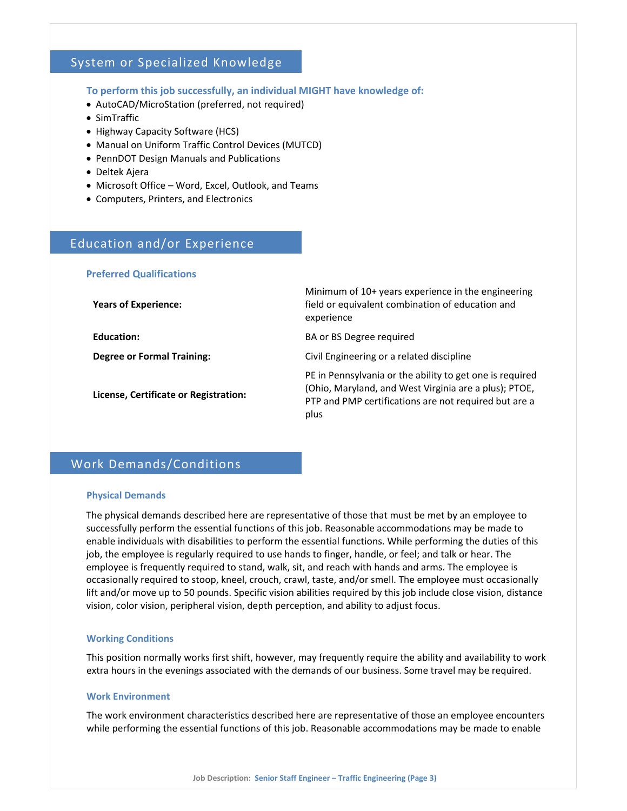## System or Specialized Knowledge

#### **To perform this job successfully, an individual MIGHT have knowledge of:**

- AutoCAD/MicroStation (preferred, not required)
- SimTraffic
- Highway Capacity Software (HCS)
- Manual on Uniform Traffic Control Devices (MUTCD)
- PennDOT Design Manuals and Publications
- Deltek Ajera
- Microsoft Office Word, Excel, Outlook, and Teams
- Computers, Printers, and Electronics

## Education and/or Experience

#### **Preferred Qualifications**

| <b>Years of Experience:</b>           | Minimum of 10+ years experience in the engineering<br>field or equivalent combination of education and<br>experience                                                               |
|---------------------------------------|------------------------------------------------------------------------------------------------------------------------------------------------------------------------------------|
| Education:                            | BA or BS Degree required                                                                                                                                                           |
| <b>Degree or Formal Training:</b>     | Civil Engineering or a related discipline                                                                                                                                          |
| License, Certificate or Registration: | PE in Pennsylvania or the ability to get one is required<br>(Ohio, Maryland, and West Virginia are a plus); PTOE,<br>PTP and PMP certifications are not required but are a<br>plus |

## Work Demands/Conditions

#### **Physical Demands**

The physical demands described here are representative of those that must be met by an employee to successfully perform the essential functions of this job. Reasonable accommodations may be made to enable individuals with disabilities to perform the essential functions. While performing the duties of this job, the employee is regularly required to use hands to finger, handle, or feel; and talk or hear. The employee is frequently required to stand, walk, sit, and reach with hands and arms. The employee is occasionally required to stoop, kneel, crouch, crawl, taste, and/or smell. The employee must occasionally lift and/or move up to 50 pounds. Specific vision abilities required by this job include close vision, distance vision, color vision, peripheral vision, depth perception, and ability to adjust focus.

#### **Working Conditions**

This position normally works first shift, however, may frequently require the ability and availability to work extra hours in the evenings associated with the demands of our business. Some travel may be required.

#### **Work Environment**

The work environment characteristics described here are representative of those an employee encounters while performing the essential functions of this job. Reasonable accommodations may be made to enable